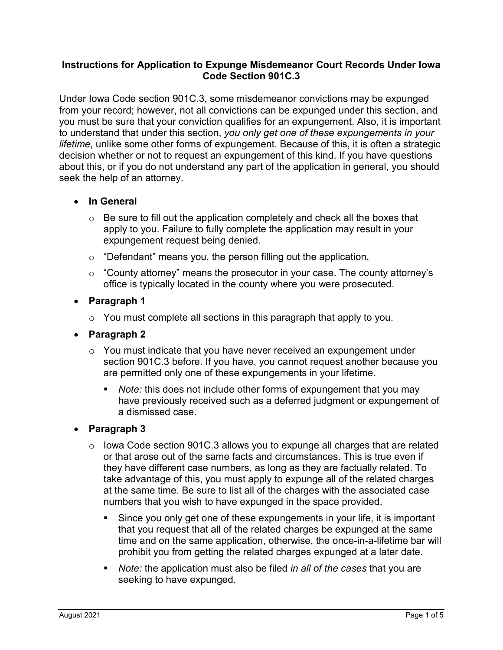### **Instructions for Application to Expunge Misdemeanor Court Records Under Iowa Code Section 901C.3**

Under Iowa Code section 901C.3, some misdemeanor convictions may be expunged from your record; however, not all convictions can be expunged under this section, and you must be sure that your conviction qualifies for an expungement. Also, it is important to understand that under this section, *you only get one of these expungements in your lifetime*, unlike some other forms of expungement. Because of this, it is often a strategic decision whether or not to request an expungement of this kind. If you have questions about this, or if you do not understand any part of the application in general, you should seek the help of an attorney.

### • **In General**

- $\circ$  Be sure to fill out the application completely and check all the boxes that apply to you. Failure to fully complete the application may result in your expungement request being denied.
- o "Defendant" means you, the person filling out the application.
- o "County attorney" means the prosecutor in your case. The county attorney's office is typically located in the county where you were prosecuted.
- **Paragraph 1**
	- $\circ$  You must complete all sections in this paragraph that apply to you.
- **Paragraph 2**
	- o You must indicate that you have never received an expungement under section 901C.3 before. If you have, you cannot request another because you are permitted only one of these expungements in your lifetime.
		- *Note:* this does not include other forms of expungement that you may have previously received such as a deferred judgment or expungement of a dismissed case.

#### • **Paragraph 3**

- $\circ$  lowa Code section 901C.3 allows you to expunge all charges that are related or that arose out of the same facts and circumstances. This is true even if they have different case numbers, as long as they are factually related. To take advantage of this, you must apply to expunge all of the related charges at the same time. Be sure to list all of the charges with the associated case numbers that you wish to have expunged in the space provided.
	- Since you only get one of these expungements in your life, it is important that you request that all of the related charges be expunged at the same time and on the same application, otherwise, the once-in-a-lifetime bar will prohibit you from getting the related charges expunged at a later date.
	- *Note:* the application must also be filed *in all of the cases* that you are seeking to have expunged.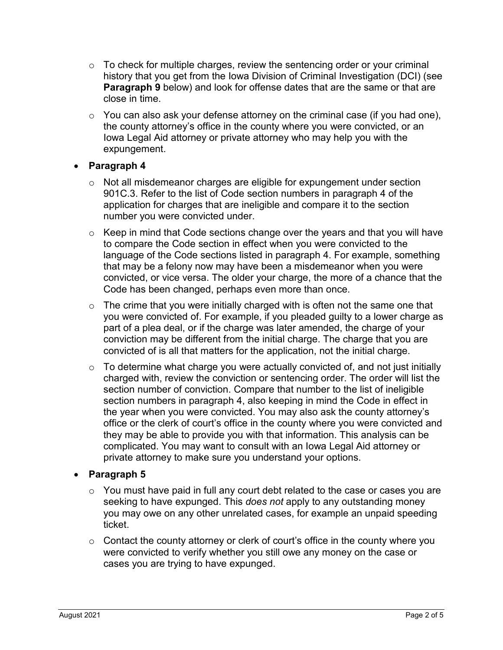- $\circ$  To check for multiple charges, review the sentencing order or your criminal history that you get from the Iowa Division of Criminal Investigation (DCI) (see **Paragraph 9** below) and look for offense dates that are the same or that are close in time.
- $\circ$  You can also ask your defense attorney on the criminal case (if you had one), the county attorney's office in the county where you were convicted, or an Iowa Legal Aid attorney or private attorney who may help you with the expungement.

## • **Paragraph 4**

- o Not all misdemeanor charges are eligible for expungement under section 901C.3. Refer to the list of Code section numbers in paragraph 4 of the application for charges that are ineligible and compare it to the section number you were convicted under.
- $\circ$  Keep in mind that Code sections change over the years and that you will have to compare the Code section in effect when you were convicted to the language of the Code sections listed in paragraph 4. For example, something that may be a felony now may have been a misdemeanor when you were convicted, or vice versa. The older your charge, the more of a chance that the Code has been changed, perhaps even more than once.
- $\circ$  The crime that you were initially charged with is often not the same one that you were convicted of. For example, if you pleaded guilty to a lower charge as part of a plea deal, or if the charge was later amended, the charge of your conviction may be different from the initial charge. The charge that you are convicted of is all that matters for the application, not the initial charge.
- $\circ$  To determine what charge you were actually convicted of, and not just initially charged with, review the conviction or sentencing order. The order will list the section number of conviction. Compare that number to the list of ineligible section numbers in paragraph 4, also keeping in mind the Code in effect in the year when you were convicted. You may also ask the county attorney's office or the clerk of court's office in the county where you were convicted and they may be able to provide you with that information. This analysis can be complicated. You may want to consult with an Iowa Legal Aid attorney or private attorney to make sure you understand your options.

### • **Paragraph 5**

- $\circ$  You must have paid in full any court debt related to the case or cases you are seeking to have expunged. This *does not* apply to any outstanding money you may owe on any other unrelated cases, for example an unpaid speeding ticket.
- $\circ$  Contact the county attorney or clerk of court's office in the county where you were convicted to verify whether you still owe any money on the case or cases you are trying to have expunged.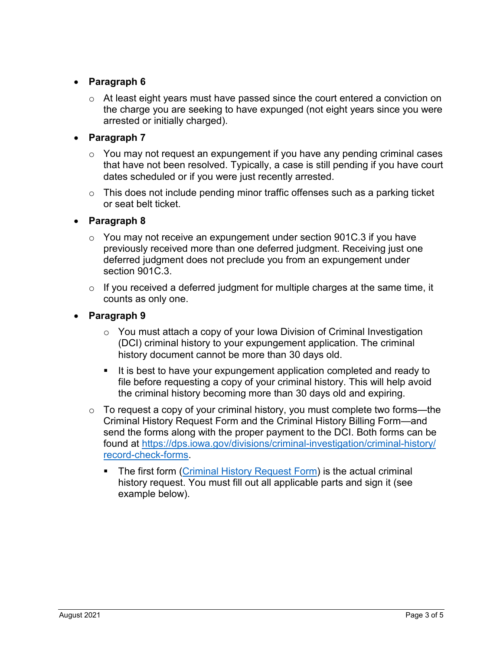# • **Paragraph 6**

 $\circ$  At least eight years must have passed since the court entered a conviction on the charge you are seeking to have expunged (not eight years since you were arrested or initially charged).

# • **Paragraph 7**

- $\circ$  You may not request an expungement if you have any pending criminal cases that have not been resolved. Typically, a case is still pending if you have court dates scheduled or if you were just recently arrested.
- $\circ$  This does not include pending minor traffic offenses such as a parking ticket or seat belt ticket.

## • **Paragraph 8**

- $\circ$  You may not receive an expungement under section 901C.3 if you have previously received more than one deferred judgment. Receiving just one deferred judgment does not preclude you from an expungement under section 901C.3.
- $\circ$  If you received a deferred judgment for multiple charges at the same time, it counts as only one.

# • **Paragraph 9**

- $\circ$  You must attach a copy of your lowa Division of Criminal Investigation (DCI) criminal history to your expungement application. The criminal history document cannot be more than 30 days old.
- It is best to have your expungement application completed and ready to file before requesting a copy of your criminal history. This will help avoid the criminal history becoming more than 30 days old and expiring.
- $\circ$  To request a copy of your criminal history, you must complete two forms—the Criminal History Request Form and the Criminal History Billing Form—and send the forms along with the proper payment to the DCI. Both forms can be found at [https://dps.iowa.gov/divisions/criminal-investigation/criminal-history/](https://dps.iowa.gov/divisions/criminal-investigation/criminal-history/record-check-forms) [record-check-forms.](https://dps.iowa.gov/divisions/criminal-investigation/criminal-history/record-check-forms)
	- The first form [\(Criminal History Request Form\)](https://dps.iowa.gov/sites/default/files/criminal-investigation/support-operations/RequestForm.pdf) is the actual criminal history request. You must fill out all applicable parts and sign it (see example below).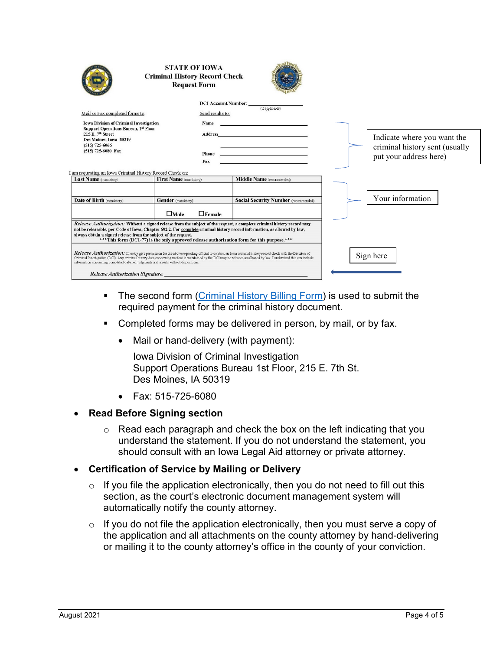|                                                                                                                                                                                                                                                                                                                                                                                                                        | <b>STATE OF IOWA</b><br><b>Criminal History Record Check</b><br><b>Request Form</b> |                                                                                                                 |  |                                                                                         |
|------------------------------------------------------------------------------------------------------------------------------------------------------------------------------------------------------------------------------------------------------------------------------------------------------------------------------------------------------------------------------------------------------------------------|-------------------------------------------------------------------------------------|-----------------------------------------------------------------------------------------------------------------|--|-----------------------------------------------------------------------------------------|
|                                                                                                                                                                                                                                                                                                                                                                                                                        | <b>DCI Account Number:</b>                                                          | (if applicable)                                                                                                 |  |                                                                                         |
| Mail or Fax completed forms to:                                                                                                                                                                                                                                                                                                                                                                                        | Send results to:                                                                    |                                                                                                                 |  |                                                                                         |
| <b>Iowa Division of Criminal Investigation</b>                                                                                                                                                                                                                                                                                                                                                                         | Name                                                                                |                                                                                                                 |  |                                                                                         |
| Support Operations Bureau, 1st Floor<br>$215$ E. $7th$ Street<br>Des Moines, Iowa 50319<br>$(515)$ 725-6066<br>(515) 725-6080 Fax                                                                                                                                                                                                                                                                                      | Address<br>Phone                                                                    | the contract of the contract of the contract of the contract of the contract of the contract of the contract of |  | Indicate where you want the<br>criminal history sent (usually<br>put your address here) |
|                                                                                                                                                                                                                                                                                                                                                                                                                        | Fax                                                                                 |                                                                                                                 |  |                                                                                         |
| am requesting an Iowa Criminal History Record Check on:<br>Last Name (mandatory)                                                                                                                                                                                                                                                                                                                                       | First Name (mandatory)                                                              | Middle Name (recommended)                                                                                       |  |                                                                                         |
|                                                                                                                                                                                                                                                                                                                                                                                                                        |                                                                                     |                                                                                                                 |  | Your information                                                                        |
| Date of Birth (mandatory)                                                                                                                                                                                                                                                                                                                                                                                              | Gender (mandatory)<br>$\Box$ Female<br>$\Box$ Male                                  | <b>Social Security Number</b> (recommended)                                                                     |  |                                                                                         |
| Release Authorization: Without a signed release from the subject of the request, a complete criminal history record may<br>not be releasable, per Code of Iowa, Chapter 692.2. For complete criminal history record information, as allowed by law,<br>always obtain a signed release from the subject of the request.<br>*** This form (DCI-77) is the only approved release authorization form for this purpose.***  |                                                                                     |                                                                                                                 |  |                                                                                         |
| Release Authorization: Thereby give permission for the above requesting official to conduct an Iowa criminal history record check with the Division of<br>Criminal Investigation (DCI). Any criminal history data concerning me that is maintained by the DCI may be released as allowed by law. I understand this can include<br>information concerning completed deferred judgments and arrests without dispositions |                                                                                     |                                                                                                                 |  | Sign here                                                                               |
| Release Authorization Signature:                                                                                                                                                                                                                                                                                                                                                                                       |                                                                                     |                                                                                                                 |  |                                                                                         |

- **The second form [\(Criminal History Billing Form\)](https://dps.iowa.gov/sites/default/files/criminal-investigation/support-operations/BillingForm.pdf) is used to submit the** required payment for the criminal history document.
- **Completed forms may be delivered in person, by mail, or by fax.** 
	- Mail or hand-delivery (with payment):

Iowa Division of Criminal Investigation Support Operations Bureau 1st Floor, 215 E. 7th St. Des Moines, IA 50319

• Fax: 515-725-6080

#### • **Read Before Signing section**

o Read each paragraph and check the box on the left indicating that you understand the statement. If you do not understand the statement, you should consult with an Iowa Legal Aid attorney or private attorney.

#### • **Certification of Service by Mailing or Delivery**

- $\circ$  If you file the application electronically, then you do not need to fill out this section, as the court's electronic document management system will automatically notify the county attorney.
- $\circ$  If you do not file the application electronically, then you must serve a copy of the application and all attachments on the county attorney by hand-delivering or mailing it to the county attorney's office in the county of your conviction.